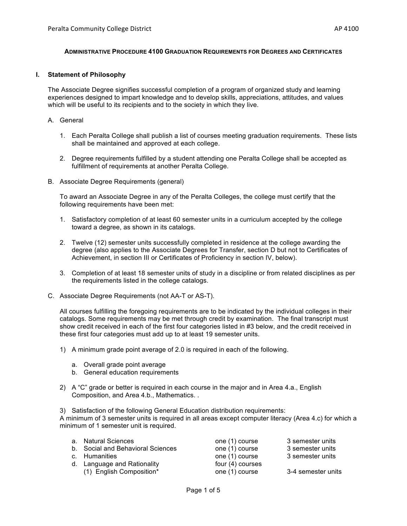### **ADMINISTRATIVE PROCEDURE 4100 GRADUATION REQUIREMENTS FOR DEGREES AND CERTIFICATES**

#### **I. Statement of Philosophy**

The Associate Degree signifies successful completion of a program of organized study and learning experiences designed to impart knowledge and to develop skills, appreciations, attitudes, and values which will be useful to its recipients and to the society in which they live.

# A. General

- 1. Each Peralta College shall publish a list of courses meeting graduation requirements. These lists shall be maintained and approved at each college.
- 2. Degree requirements fulfilled by a student attending one Peralta College shall be accepted as fulfillment of requirements at another Peralta College.
- B. Associate Degree Requirements (general)

To award an Associate Degree in any of the Peralta Colleges, the college must certify that the following requirements have been met:

- 1. Satisfactory completion of at least 60 semester units in a curriculum accepted by the college toward a degree, as shown in its catalogs.
- 2. Twelve (12) semester units successfully completed in residence at the college awarding the degree (also applies to the Associate Degrees for Transfer, section D but not to Certificates of Achievement, in section III or Certificates of Proficiency in section IV, below).
- 3. Completion of at least 18 semester units of study in a discipline or from related disciplines as per the requirements listed in the college catalogs.
- C. Associate Degree Requirements (not AA-T or AS-T).

All courses fulfilling the foregoing requirements are to be indicated by the individual colleges in their catalogs. Some requirements may be met through credit by examination. The final transcript must show credit received in each of the first four categories listed in #3 below, and the credit received in these first four categories must add up to at least 19 semester units.

- 1) A minimum grade point average of 2.0 is required in each of the following.
	- a. Overall grade point average
	- b. General education requirements
- 2) A "C" grade or better is required in each course in the major and in Area 4.a., English Composition, and Area 4.b., Mathematics. .
- 3) Satisfaction of the following General Education distribution requirements:

A minimum of 3 semester units is required in all areas except computer literacy (Area 4.c) for which a minimum of 1 semester unit is required.

| a. Natural Sciences               | one (1) course   | 3 semester units   |
|-----------------------------------|------------------|--------------------|
| b. Social and Behavioral Sciences | one (1) course   | 3 semester units   |
| c. Humanities                     | one (1) course   | 3 semester units   |
| d. Language and Rationality       | four (4) courses |                    |
| (1) English Composition*          | one (1) course   | 3-4 semester units |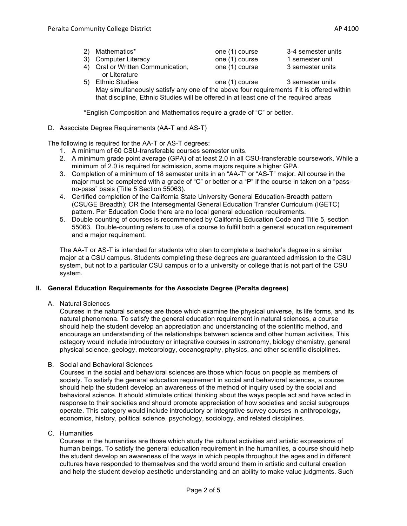| 2) Mathematics*      | one (1) course | 3-4 semester units |
|----------------------|----------------|--------------------|
| 3) Computer Literacy | one (1) course | 1 semester unit    |

4) Oral or Written Communication, one (1) course 3 semester units or Literature

5) Ethnic Studies one (1) course 3 semester units May simultaneously satisfy any one of the above four requirements if it is offered within that discipline, Ethnic Studies will be offered in at least one of the required areas

\*English Composition and Mathematics require a grade of "C" or better.

D. Associate Degree Requirements (AA-T and AS-T)

The following is required for the AA-T or AS-T degrees:

- 1. A minimum of 60 CSU-transferable courses semester units.
- 2. A minimum grade point average (GPA) of at least 2.0 in all CSU-transferable coursework. While a minimum of 2.0 is required for admission, some majors require a higher GPA.
- 3. Completion of a minimum of 18 semester units in an "AA-T" or "AS-T" major. All course in the major must be completed with a grade of "C" or better or a "P" if the course in taken on a "passno-pass" basis (Title 5 Section 55063).
- 4. Certified completion of the California State University General Education-Breadth pattern (CSUGE Breadth); OR the Intersegmental General Education Transfer Curriculum (IGETC) pattern. Per Education Code there are no local general education requirements.
- 5. Double counting of courses is recommended by California Education Code and Title 5, section 55063. Double-counting refers to use of a course to fulfill both a general education requirement and a major requirement.

The AA-T or AS-T is intended for students who plan to complete a bachelor's degree in a similar major at a CSU campus. Students completing these degrees are guaranteed admission to the CSU system, but not to a particular CSU campus or to a university or college that is not part of the CSU system.

# **II. General Education Requirements for the Associate Degree (Peralta degrees)**

A. Natural Sciences

Courses in the natural sciences are those which examine the physical universe, its life forms, and its natural phenomena. To satisfy the general education requirement in natural sciences, a course should help the student develop an appreciation and understanding of the scientific method, and encourage an understanding of the relationships between science and other human activities, This category would include introductory or integrative courses in astronomy, biology chemistry, general physical science, geology, meteorology, oceanography, physics, and other scientific disciplines.

B. Social and Behavioral Sciences

Courses in the social and behavioral sciences are those which focus on people as members of society. To satisfy the general education requirement in social and behavioral sciences, a course should help the student develop an awareness of the method of inquiry used by the social and behavioral science. It should stimulate critical thinking about the ways people act and have acted in response to their societies and should promote appreciation of how societies and social subgroups operate. This category would include introductory or integrative survey courses in anthropology, economics, history, political science, psychology, sociology, and related disciplines.

C. Humanities

Courses in the humanities are those which study the cultural activities and artistic expressions of human beings. To satisfy the general education requirement in the humanities, a course should help the student develop an awareness of the ways in which people throughout the ages and in different cultures have responded to themselves and the world around them in artistic and cultural creation and help the student develop aesthetic understanding and an ability to make value judgments. Such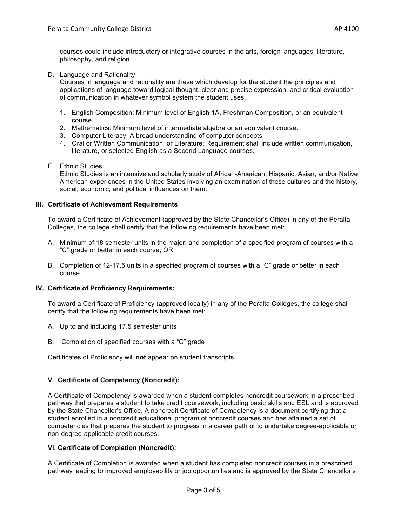courses could include introductory or integrative courses in the arts, foreign languages, literature, philosophy, and religion.

D. Language and Rationality

Courses in language and rationality are these which develop for the student the principles and applications of language toward logical thought, clear and precise expression, and critical evaluation of communication in whatever symbol system the student uses.

- 1. English Composition: Minimum level of English 1A, Freshman Composition, or an equivalent course.
- 2. Mathematics: Minimum level of intermediate algebra or an equivalent course.
- 3. Computer Literacy: A broad understanding of computer concepts
- 4. Oral or Written Communication, or Literature: Requirement shall include written communication, literature, or selected English as a Second Language courses.
- E. Ethnic Studies

Ethnic Studies is an intensive and scholarly study of African-American, Hispanic, Asian, and/or Native American experiences in the United States involving an examination of these cultures and the history, social, economic, and political influences on them.

# **III. Certificate of Achievement Requirements**

To award a Certificate of Achievement (approved by the State Chancellor's Office) in any of the Peralta Colleges, the college shall certify that the following requirements have been met:

- A. Minimum of 18 semester units in the major; and completion of a specified program of courses with a "C" grade or better in each course; OR
- B. Completion of 12-17.5 units in a specified program of courses with a "C" grade or better in each course.

### **IV. Certificate of Proficiency Requirements:**

To award a Certificate of Proficiency (approved locally) in any of the Peralta Colleges, the college shall certify that the following requirements have been met:

- A. Up to and including 17.5 semester units
- B. Completion of specified courses with a "C" grade

Certificates of Proficiency will **not** appear on student transcripts.

# **V. Certificate of Competency (Noncredit):**

A Certificate of Competency is awarded when a student completes noncredit coursework in a prescribed pathway that prepares a student to take credit coursework, including basic skills and ESL and is approved by the State Chancellor's Office. A noncredit Certificate of Competency is a document certifying that a student enrolled in a noncredit educational program of noncredit courses and has attained a set of competencies that prepares the student to progress in a career path or to undertake degree-applicable or non-degree-applicable credit courses.

# **VI. Certificate of Completion (Noncredit):**

A Certificate of Completion is awarded when a student has completed noncredit courses in a prescribed pathway leading to improved employability or job opportunities and is approved by the State Chancellor's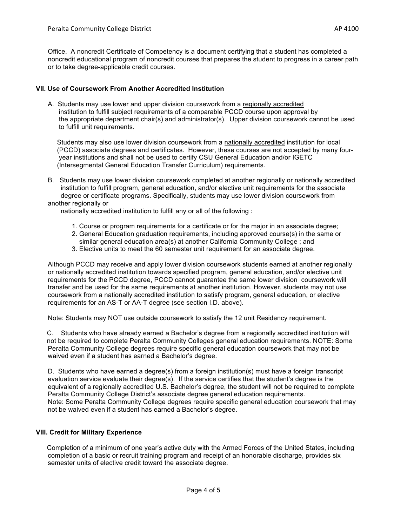# **VII. Use of Coursework From Another Accredited Institution**

A. Students may use lower and upper division coursework from a regionally accredited institution to fulfill subject requirements of a comparable PCCD course upon approval by the appropriate department chair(s) and administrator(s). Upper division coursework cannot be used to fulfill unit requirements.

 Students may also use lower division coursework from a nationally accredited institution for local (PCCD) associate degrees and certificates. However, these courses are not accepted by many four year institutions and shall not be used to certify CSU General Education and/or IGETC (Intersegmental General Education Transfer Curriculum) requirements.

B. Students may use lower division coursework completed at another regionally or nationally accredited institution to fulfill program, general education, and/or elective unit requirements for the associate degree or certificate programs. Specifically, students may use lower division coursework from another regionally or

nationally accredited institution to fulfill any or all of the following :

- 1. Course or program requirements for a certificate or for the major in an associate degree;
- 2. General Education graduation requirements, including approved course(s) in the same or
- similar general education area(s) at another California Community College ; and
- 3. Elective units to meet the 60 semester unit requirement for an associate degree.

Although PCCD may receive and apply lower division coursework students earned at another regionally or nationally accredited institution towards specified program, general education, and/or elective unit requirements for the PCCD degree, PCCD cannot guarantee the same lower division coursework will transfer and be used for the same requirements at another institution. However, students may not use coursework from a nationally accredited institution to satisfy program, general education, or elective requirements for an AS-T or AA-T degree (see section I.D. above).

Note: Students may NOT use outside coursework to satisfy the 12 unit Residency requirement.

 C. Students who have already earned a Bachelor's degree from a regionally accredited institution will not be required to complete Peralta Community Colleges general education requirements. NOTE: Some Peralta Community College degrees require specific general education coursework that may not be waived even if a student has earned a Bachelor's degree.

D. Students who have earned a degree(s) from a foreign institution(s) must have a foreign transcript evaluation service evaluate their degree(s). If the service certifies that the student's degree is the equivalent of a regionally accredited U.S. Bachelor's degree, the student will not be required to complete Peralta Community College District's associate degree general education requirements. Note: Some Peralta Community College degrees require specific general education coursework that may not be waived even if a student has earned a Bachelor's degree.

#### **VIII. Credit for Military Experience**

 Completion of a minimum of one year's active duty with the Armed Forces of the United States, including completion of a basic or recruit training program and receipt of an honorable discharge, provides six semester units of elective credit toward the associate degree.